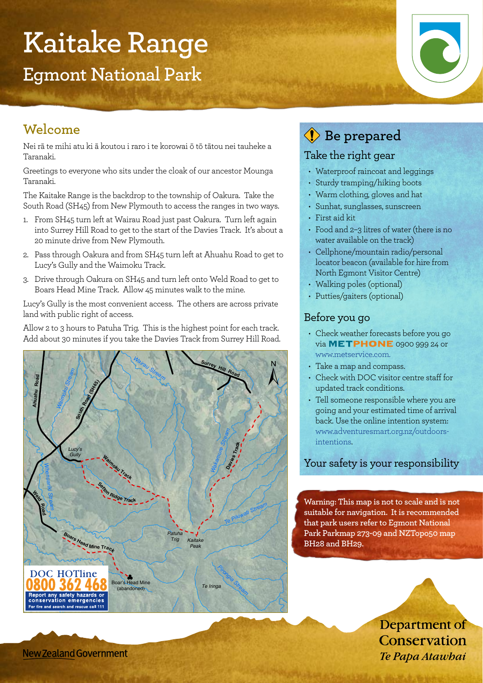# **Kaitake Range**

**Egmont National Park**

## **Welcome**

Nei rā te mihi atu ki ā koutou i raro i te korowai ō tō tātou nei tauheke a Taranaki.

Greetings to everyone who sits under the cloak of our ancestor Mounga Taranaki.

The Kaitake Range is the backdrop to the township of Oakura. Take the South Road (SH45) from New Plymouth to access the ranges in two ways.

- 1. From SH45 turn left at Wairau Road just past Oakura. Turn left again into Surrey Hill Road to get to the start of the Davies Track. It's about a 20 minute drive from New Plymouth.
- 2. Pass through Oakura and from SH45 turn left at Ahuahu Road to get to Lucy's Gully and the Waimoku Track.
- 3. Drive through Oakura on SH45 and turn left onto Weld Road to get to Boars Head Mine Track. Allow 45 minutes walk to the mine.

Lucy's Gully is the most convenient access. The others are across private land with public right of access.

Allow 2 to 3 hours to Patuha Trig. This is the highest point for each track. Add about 30 minutes if you take the Davies Track from Surrey Hill Road.



# **Be prepared**

#### Take the right gear

- Waterproof raincoat and leggings
- Sturdy tramping/hiking boots
- Warm clothing, gloves and hat
- • Sunhat, sunglasses, sunscreen
- • First aid kit
- Food and 2-3 litres of water (there is no water available on the track)
- Cellphone/mountain radio/personal locator beacon (available for hire from North Egmont Visitor Centre)
- Walking poles (optional)
- Putties/gaiters (optional)

#### Before you go

- Check weather forecasts before you go via **METPHONE** 0900 999 24 or www.metservice.com.
- Take a map and compass.
- Check with DOC visitor centre staff for updated track conditions.
- Tell someone responsible where you are going and your estimated time of arrival back. Use the online intention system: www.adventuresmart.org.nz/outdoorsintentions.

#### Your safety is your responsibility

**Warning: This map is not to scale and is not suitable for navigation. It is recommended that park users refer to Egmont National Park Parkmap 273-09 and NZTopo50 map BH28 and BH29.**

> Department of Conservation Te Papa Atawbai

New Zealand Government